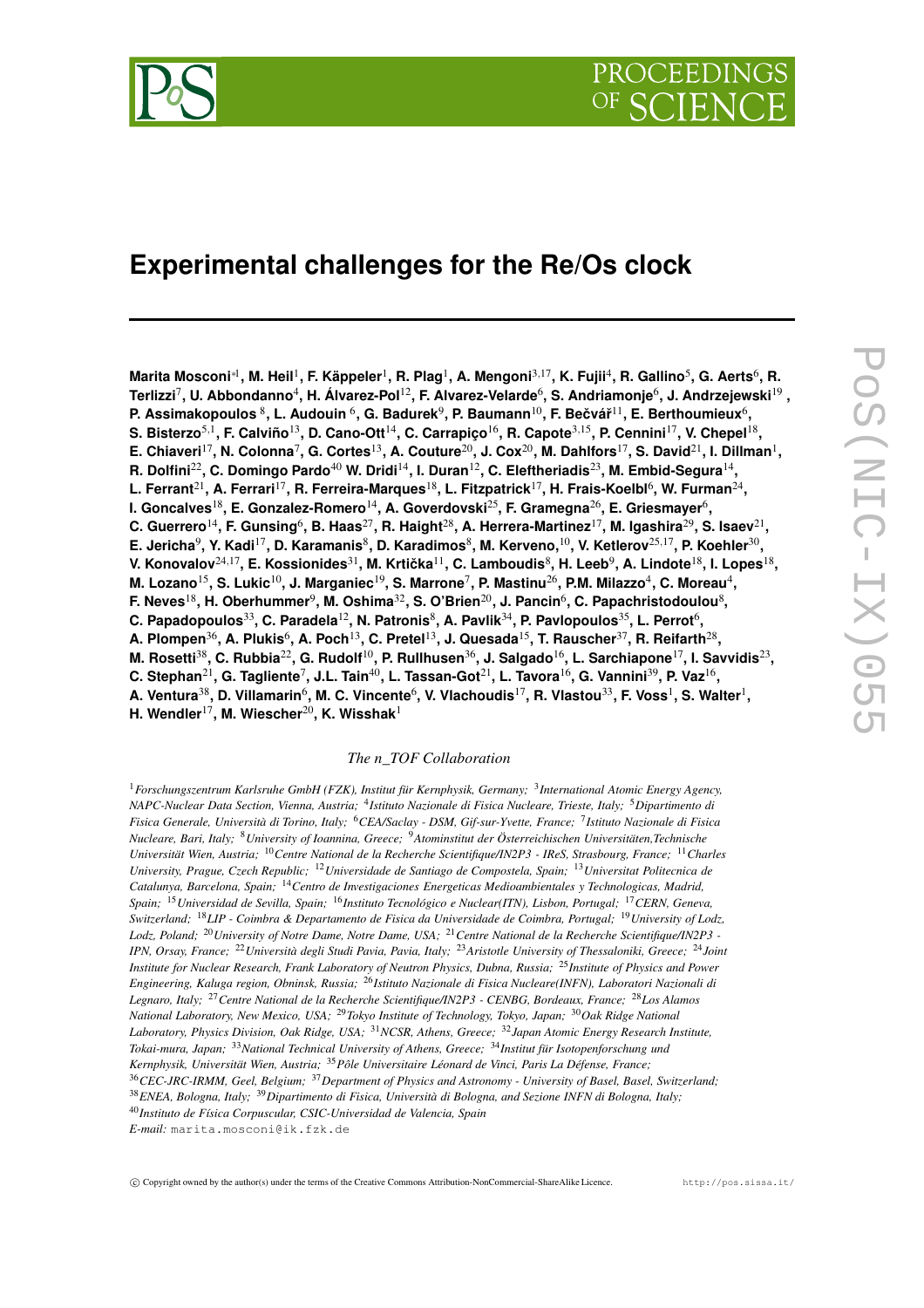

# **Experimental challenges for the Re/Os clock**

Marita Mosconi $^{*l}$ , M. Heil $^1$ , F. Käppeler $^1$ , R. Plag $^1$ , A. Mengoni $^{3,17}$ , K. Fujii $^4$ , R. Gallino $^5$ , G. Aerts $^6$ , R. <code>Terlizzi $^7$ , U.</code> Abbondanno $^4$ , H. Álvarez-Pol $^{12}$ , F. Alvarez-Velarde $^6$ , S. Andriamonje $^6$ , J. Andrzejewski $^{19}$  , P. Assimakopoulos  $^8$ , L. Audouin  $^6$ , G. Badurek $^9$ , P. Baumann $^{10}$ , F. Bečvář $^{11}$ , E. Berthoumieux $^6$ , S. Bisterzo $^{5,1}$ , F. Calviño $^{13}$ , D. Cano-Ott $^{14}$ , C. Carrapiço $^{16}$ , R. Capote $^{3,15}$ , P. Cennini $^{17}$ , V. Chepel $^{18}$ , E. Chiaveri $^{17}$ , N. Colonna $^7$ , G. Cortes $^{13}$ , A. Couture $^{20}$ , J. Cox $^{20}$ , M. Dahlfors $^{17}$ , S. David $^{21}$ , I. Dillman $^{1}$ , R. Dolfini $^{22}$ , C. Domingo Pardo $^{40}$  W. Dridi $^{14}$ , I. Duran $^{12}$ , C. Eleftheriadis $^{23}$ , M. Embid-Segura $^{14}$ , L. Ferrant $^{21}$ , A. Ferrari $^{17}$ , R. Ferreira-Marques $^{18}$ , L. Fitzpatrick $^{17}$ , H. Frais-Koelbl $^6$ , W. Furman $^{24}$ , **I. Goncalves**<sup>18</sup> **, E. Gonzalez-Romero** 14 **, A. Goverdovski**<sup>25</sup> **, F. Gramegna**<sup>26</sup> **, E. Griesmayer**<sup>6</sup> **,** C. Guerrero $^{14}$ , F. Gunsing $^6$ , B. Haas $^{27}$ , R. Haight $^{28}$ , A. Herrera-Martinez $^{17}$ , M. Igashira $^{29}$ , S. Isaev $^{21}$ , E. Jericha $^9$ , Y. Kadi $^{17}$ , D. Karamanis $^8$ , D. Karadimos $^8$ , M. Kerveno, $^{10}$ , V. Ketlerov $^{25,17}$ , P. Koehler $^{30},$ V. Konovalov $^{24,17}$ , E. Kossionides $^{31}$ , M. Krtička $^{11}$ , C. Lamboudis $^8$ , H. Leeb $^9$ , A. Lindote $^{18}$ , I. Lopes $^{18},$ M. Lozano $^{15}$ , S. Lukic $^{10}$ , J. Marganiec $^{19}$ , S. Marrone $^7$ , P. Mastinu $^{26}$ , P.M. Milazzo $^4$ , C. Moreau $^4$ ,  $\bf{F.}\$  Neves $^{18}$ , H. Oberhummer $^9$ , M. Oshima $^{32}$ , S. O'Brien $^{20}$ , J. Pancin $^6$ , C. Papachristodoulou $^8$ ,  ${\bf C.}$  <code>Papadopoulos $^{33}$ , C. Paradela $^{12}$ , N. Patronis $^8$ , A. Pavlik $^{34}$ , P. Pavlopoulos $^{35}$ , L. Perrot $^6$ ,</code> A. Plompen $^{36}$ , A. Plukis $^6$ , A. Poch $^{13}$ , C. Pretel $^{13}$ , J. Quesada $^{15}$ , T. Rauscher $^{37}$ , R. Reifarth $^{28}$ , M. Rosetti $^{38}$ , C. Rubbia $^{22}$ , G. Rudolf $^{10}$ , P. Rullhusen $^{36}$ , J. Salgado $^{16}$ , L. Sarchiapone $^{17}$ , I. Savvidis $^{23}$ , C. Stephan $^{21}$ , G. Tagliente $^7$ , J.L. Tain $^{40}$ , L. Tassan-Got $^{21}$ , L. Tavora $^{16}$ , G. Vannini $^{39}$ , P. Vaz $^{16}$ , A. Ventura $^{38}$ , D. Villamarin $^6$ , M. C. Vincente $^6$ , V. Vlachoudis $^{17}$ , R. Vlastou $^{33}$ , F. Voss $^1$ , S. Walter $^1$ , **H. Wendler**<sup>17</sup> **, M. Wiescher**<sup>20</sup> **, K. Wisshak**<sup>1</sup>

#### *The n\_TOF Collaboration*

<sup>1</sup>*Forschungszentrum Karlsruhe GmbH (FZK), Institut für Kernphysik, Germany;* <sup>3</sup> *International Atomic Energy Agency, NAPC-Nuclear Data Section, Vienna, Austria;* <sup>4</sup> *Istituto Nazionale di Fisica Nucleare, Trieste, Italy;* <sup>5</sup>*Dipartimento di Fisica Generale, Università di Torino, Italy;* <sup>6</sup>*CEA/Saclay - DSM, Gif-sur-Yvette, France;* <sup>7</sup> *Istituto Nazionale di Fisica Nucleare, Bari, Italy;* <sup>8</sup>*University of Ioannina, Greece;* <sup>9</sup>*Atominstitut der Österreichischen Universitäten,Technische Universität Wien, Austria;* <sup>10</sup>*Centre National de la Recherche Scientifique/IN2P3 - IReS, Strasbourg, France;* <sup>11</sup>*Charles University, Prague, Czech Republic;* <sup>12</sup>*Universidade de Santiago de Compostela, Spain;* <sup>13</sup>*Universitat Politecnica de Catalunya, Barcelona, Spain;* <sup>14</sup>*Centro de Investigaciones Energeticas Medioambientales y Technologicas, Madrid, Spain;* <sup>15</sup>*Universidad de Sevilla, Spain;* <sup>16</sup>*Instituto Tecnológico e Nuclear(ITN), Lisbon, Portugal;* <sup>17</sup>*CERN, Geneva,* Switzerland; <sup>18</sup>LIP - Coimbra & Departamento de Fisica da Universidade de Coimbra, Portugal; <sup>19</sup>University of Lodz, Lodz, Poland; <sup>20</sup> University of Notre Dame, Notre Dame, USA; <sup>21</sup> Centre National de la Recherche Scientifique/IN2P3 -IPN, Orsav, France: <sup>22</sup> Università degli Studi Pavia, Pavia, Italy: <sup>23</sup> Aristotle University of Thessaloniki, Greece: <sup>24</sup> Joint Institute for Nuclear Research, Frank Laboratory of Neutron Physics, Dubna, Russia;<sup>25</sup> Institute of Physics and Power *Engineering, Kaluga region, Obninsk, Russia;* <sup>26</sup>*Istituto Nazionale di Fisica Nucleare(INFN), Laboratori Nazionali di Legnaro, Italy;* <sup>27</sup>*Centre National de la Recherche Scientifique/IN2P3 - CENBG, Bordeaux, France;* <sup>28</sup>*Los Alamos National Laboratory, New Mexico, USA;* <sup>29</sup>*Tokyo Institute of Technology, Tokyo, Japan;* <sup>30</sup>*Oak Ridge National Laboratory, Physics Division, Oak Ridge, USA;* <sup>31</sup>*NCSR, Athens, Greece;* <sup>32</sup>*Japan Atomic Energy Research Institute, Tokai-mura, Japan;* <sup>33</sup>*National Technical University of Athens, Greece;* <sup>34</sup>*Institut für Isotopenforschung und Kernphysik, Universität Wien, Austria;* <sup>35</sup>*Pôle Universitaire Léonard de Vinci, Paris La Défense, France;* <sup>36</sup>*CEC-JRC-IRMM, Geel, Belgium;* <sup>37</sup>*Department of Physics and Astronomy - University of Basel, Basel, Switzerland;* <sup>38</sup>*ENEA, Bologna, Italy;* <sup>39</sup>*Dipartimento di Fisica, Università di Bologna, and Sezione INFN di Bologna, Italy;* <sup>40</sup>*Instituto de Física Corpuscular, CSIC-Universidad de Valencia, Spain E-mail:* marita.mosconi@ik.fzk.de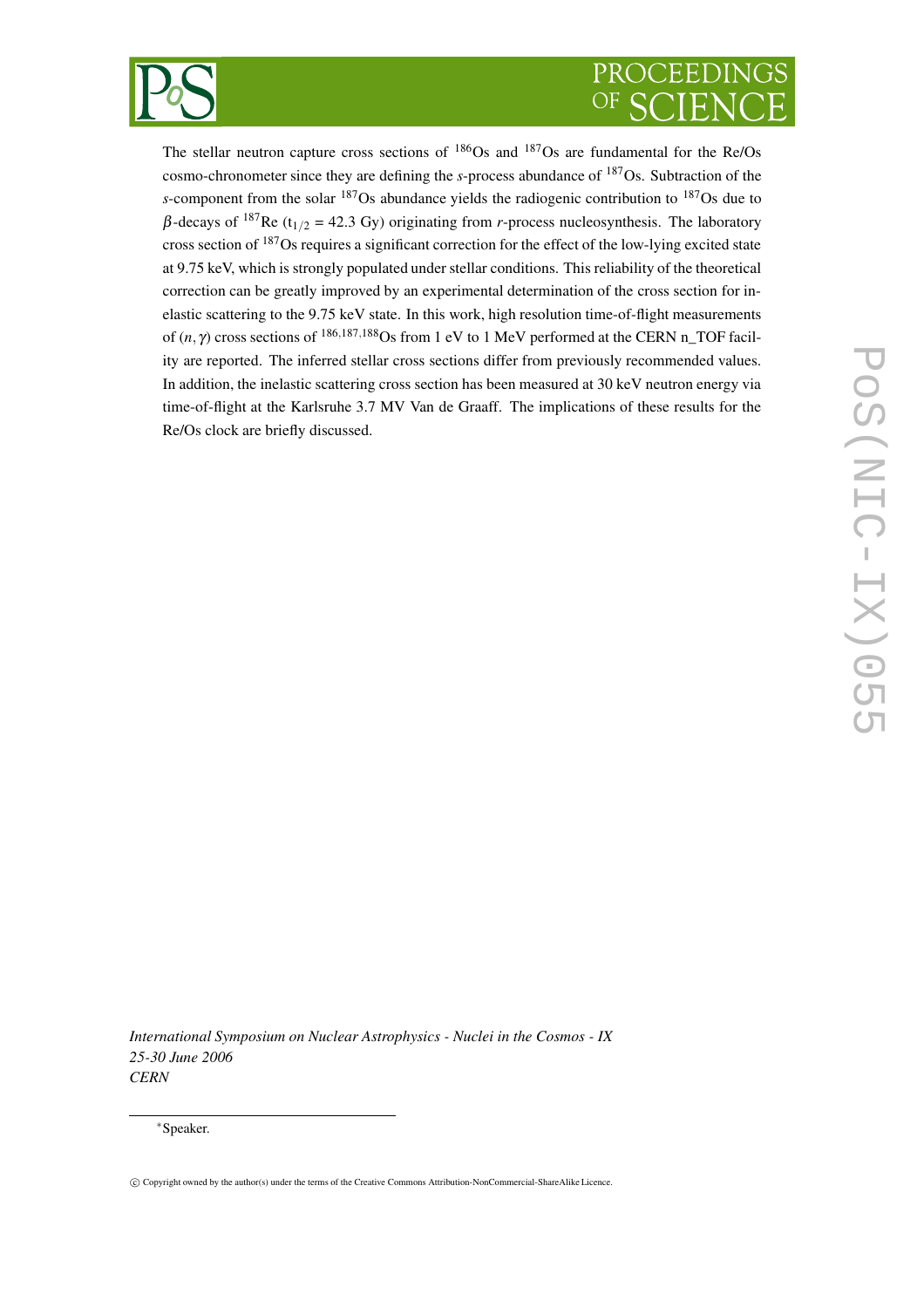

# PROCEEDIN

The stellar neutron capture cross sections of  $186$ Os and  $187$ Os are fundamental for the Re/Os cosmo-chronometer since they are defining the *s*-process abundance of <sup>187</sup>Os. Subtraction of the *s*-component from the solar <sup>187</sup>Os abundance yields the radiogenic contribution to <sup>187</sup>Os due to  $β$ -decays of <sup>187</sup>Re (t<sub>1/2</sub> = 42.3 Gy) originating from *r*-process nucleosynthesis. The laboratory cross section of <sup>187</sup>Os requires a significant correction for the effect of the low-lying excited state at 9.75 keV, which is strongly populated under stellar conditions. This reliability of the theoretical correction can be greatly improved by an experimental determination of the cross section for inelastic scattering to the 9.75 keV state. In this work, high resolution time-of-flight measurements of  $(n, \gamma)$  cross sections of <sup>186,187,188</sup>Os from 1 eV to 1 MeV performed at the CERN n\_TOF facility are reported. The inferred stellar cross sections differ from previously recommended values. In addition, the inelastic scattering cross section has been measured at 30 keV neutron energy via time-of-flight at the Karlsruhe 3.7 MV Van de Graaff. The implications of these results for the Re/Os clock are briefly discussed.

*International Symposium on Nuclear Astrophysics - Nuclei in the Cosmos - IX 25-30 June 2006 CERN*

<sup>∗</sup>Speaker.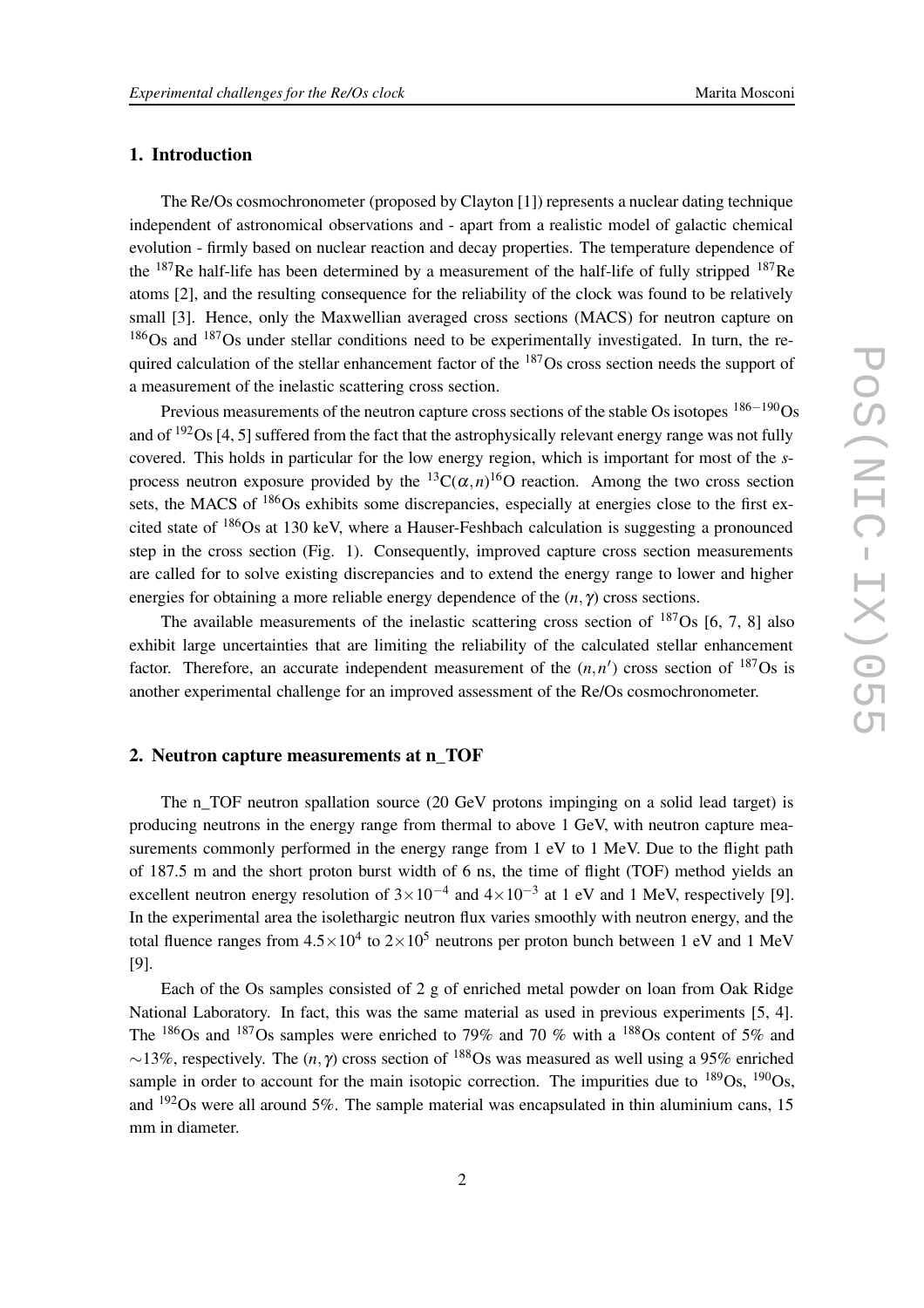## **1. Introduction**

The Re/Os cosmochronometer (proposed by Clayton [1]) represents a nuclear dating technique independent of astronomical observations and - apart from a realistic model of galactic chemical evolution - firmly based on nuclear reaction and decay properties. The temperature dependence of the  $^{187}$ Re half-life has been determined by a measurement of the half-life of fully stripped  $^{187}$ Re atoms [2], and the resulting consequence for the reliability of the clock was found to be relatively small [3]. Hence, only the Maxwellian averaged cross sections (MACS) for neutron capture on <sup>186</sup>Os and <sup>187</sup>Os under stellar conditions need to be experimentally investigated. In turn, the required calculation of the stellar enhancement factor of the  $187O$ s cross section needs the support of a measurement of the inelastic scattering cross section.

Previous measurements of the neutron capture cross sections of the stable Os isotopes  $186-190$ Os and of  $192$ Os [4, 5] suffered from the fact that the astrophysically relevant energy range was not fully covered. This holds in particular for the low energy region, which is important for most of the *s*process neutron exposure provided by the  ${}^{13}C(\alpha, n) {}^{16}O$  reaction. Among the two cross section sets, the MACS of <sup>186</sup>Os exhibits some discrepancies, especially at energies close to the first excited state of <sup>186</sup>Os at 130 keV, where a Hauser-Feshbach calculation is suggesting a pronounced step in the cross section (Fig. 1). Consequently, improved capture cross section measurements are called for to solve existing discrepancies and to extend the energy range to lower and higher energies for obtaining a more reliable energy dependence of the (*n*, γ) cross sections.

The available measurements of the inelastic scattering cross section of  $^{187}Os$  [6, 7, 8] also exhibit large uncertainties that are limiting the reliability of the calculated stellar enhancement factor. Therefore, an accurate independent measurement of the  $(n, n')$  cross section of  $187$ Os is another experimental challenge for an improved assessment of the Re/Os cosmochronometer.

#### **2. Neutron capture measurements at n\_TOF**

The n\_TOF neutron spallation source (20 GeV protons impinging on a solid lead target) is producing neutrons in the energy range from thermal to above 1 GeV, with neutron capture measurements commonly performed in the energy range from 1 eV to 1 MeV. Due to the flight path of 187.5 m and the short proton burst width of 6 ns, the time of flight (TOF) method yields an excellent neutron energy resolution of  $3 \times 10^{-4}$  and  $4 \times 10^{-3}$  at 1 eV and 1 MeV, respectively [9]. In the experimental area the isolethargic neutron flux varies smoothly with neutron energy, and the total fluence ranges from  $4.5 \times 10^4$  to  $2 \times 10^5$  neutrons per proton bunch between 1 eV and 1 MeV [9].

Each of the Os samples consisted of 2 g of enriched metal powder on loan from Oak Ridge National Laboratory. In fact, this was the same material as used in previous experiments [5, 4]. The  $186$ Os and  $187$ Os samples were enriched to 79% and 70 % with a  $188$ Os content of 5% and  $∼13\%$ , respectively. The  $(n, \gamma)$  cross section of <sup>188</sup>Os was measured as well using a 95% enriched sample in order to account for the main isotopic correction. The impurities due to  $^{189}Os$ ,  $^{190}Os$ , and  $192$ Os were all around 5%. The sample material was encapsulated in thin aluminium cans, 15 mm in diameter.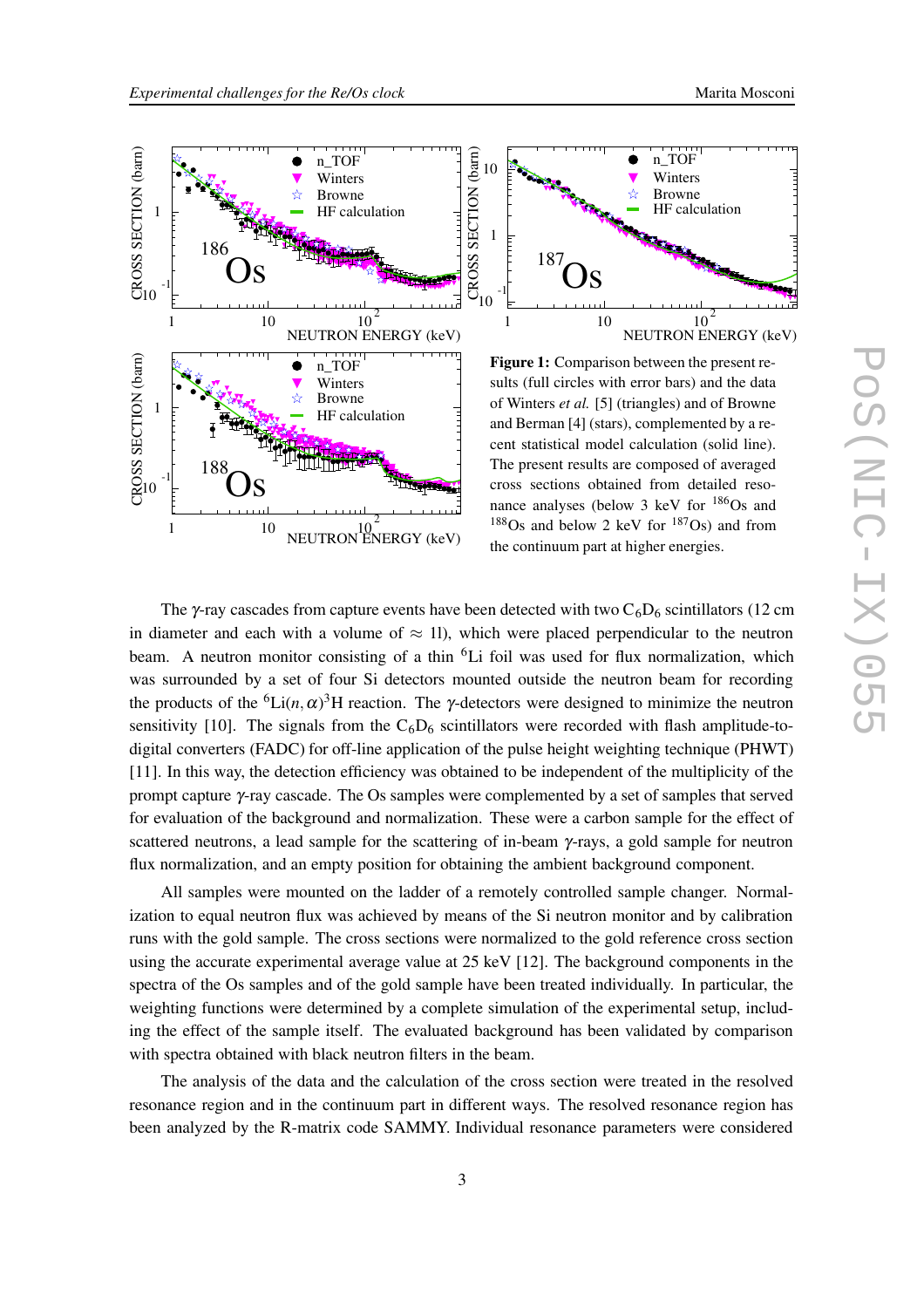



The  $\gamma$ -ray cascades from capture events have been detected with two  $C_6D_6$  scintillators (12 cm in diameter and each with a volume of  $\approx$  11), which were placed perpendicular to the neutron beam. A neutron monitor consisting of a thin  ${}^{6}Li$  foil was used for flux normalization, which was surrounded by a set of four Si detectors mounted outside the neutron beam for recording the products of the <sup>6</sup>Li(*n*,  $\alpha$ )<sup>3</sup>H reaction. The *γ*-detectors were designed to minimize the neutron sensitivity [10]. The signals from the  $C_6D_6$  scintillators were recorded with flash amplitude-todigital converters (FADC) for off-line application of the pulse height weighting technique (PHWT) [11]. In this way, the detection efficiency was obtained to be independent of the multiplicity of the prompt capture γ-ray cascade. The Os samples were complemented by a set of samples that served for evaluation of the background and normalization. These were a carbon sample for the effect of scattered neutrons, a lead sample for the scattering of in-beam γ-rays, a gold sample for neutron flux normalization, and an empty position for obtaining the ambient background component.

the continuum part at higher energies.

All samples were mounted on the ladder of a remotely controlled sample changer. Normalization to equal neutron flux was achieved by means of the Si neutron monitor and by calibration runs with the gold sample. The cross sections were normalized to the gold reference cross section using the accurate experimental average value at 25 keV [12]. The background components in the spectra of the Os samples and of the gold sample have been treated individually. In particular, the weighting functions were determined by a complete simulation of the experimental setup, including the effect of the sample itself. The evaluated background has been validated by comparison with spectra obtained with black neutron filters in the beam.

The analysis of the data and the calculation of the cross section were treated in the resolved resonance region and in the continuum part in different ways. The resolved resonance region has been analyzed by the R-matrix code SAMMY. Individual resonance parameters were considered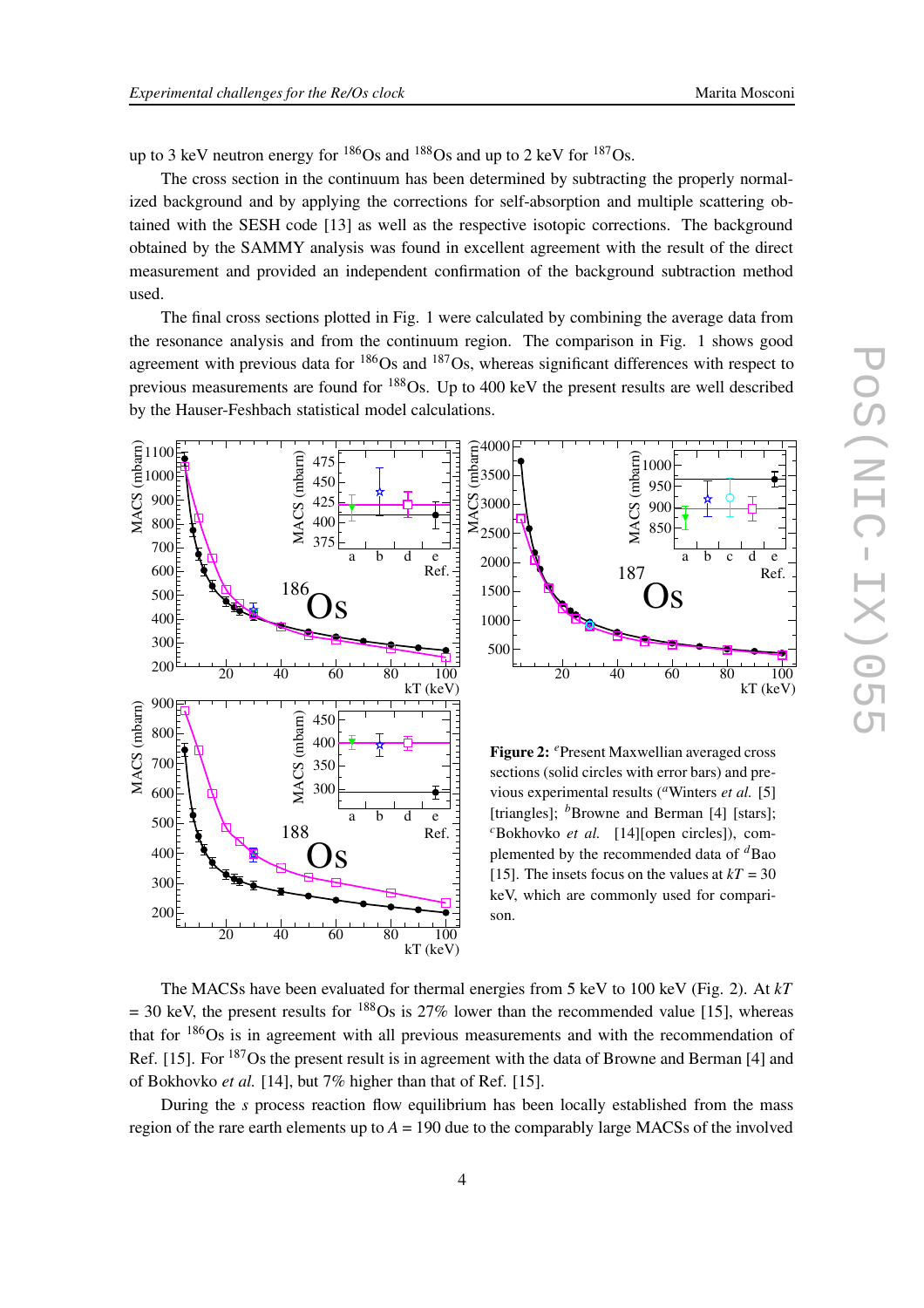up to 3 keV neutron energy for  $186$ Os and  $188$ Os and up to 2 keV for  $187$ Os.

The cross section in the continuum has been determined by subtracting the properly normalized background and by applying the corrections for self-absorption and multiple scattering obtained with the SESH code [13] as well as the respective isotopic corrections. The background obtained by the SAMMY analysis was found in excellent agreement with the result of the direct measurement and provided an independent confirmation of the background subtraction method used.

The final cross sections plotted in Fig. 1 were calculated by combining the average data from the resonance analysis and from the continuum region. The comparison in Fig. 1 shows good agreement with previous data for  $186$ Os and  $187$ Os, whereas significant differences with respect to previous measurements are found for <sup>188</sup>Os. Up to 400 keV the present results are well described by the Hauser-Feshbach statistical model calculations.





**Figure 2:** *<sup>e</sup>*Present Maxwellian averaged cross sections (solid circles with error bars) and previous experimental results (<sup>*a*</sup>Winters *et al.* [5] [triangles]; <sup>b</sup>Browne and Berman [4] [stars]; *<sup>c</sup>*Bokhovko *et al.* [14][open circles]), complemented by the recommended data of *<sup>d</sup>*Bao [15]. The insets focus on the values at  $kT = 30$ keV, which are commonly used for comparison.

The MACSs have been evaluated for thermal energies from 5 keV to 100 keV (Fig. 2). At *kT*  $= 30$  keV, the present results for <sup>188</sup>Os is 27% lower than the recommended value [15], whereas that for <sup>186</sup>Os is in agreement with all previous measurements and with the recommendation of Ref. [15]. For <sup>187</sup>Os the present result is in agreement with the data of Browne and Berman [4] and of Bokhovko *et al.* [14], but 7% higher than that of Ref. [15].

During the *s* process reaction flow equilibrium has been locally established from the mass region of the rare earth elements up to  $A = 190$  due to the comparably large MACSs of the involved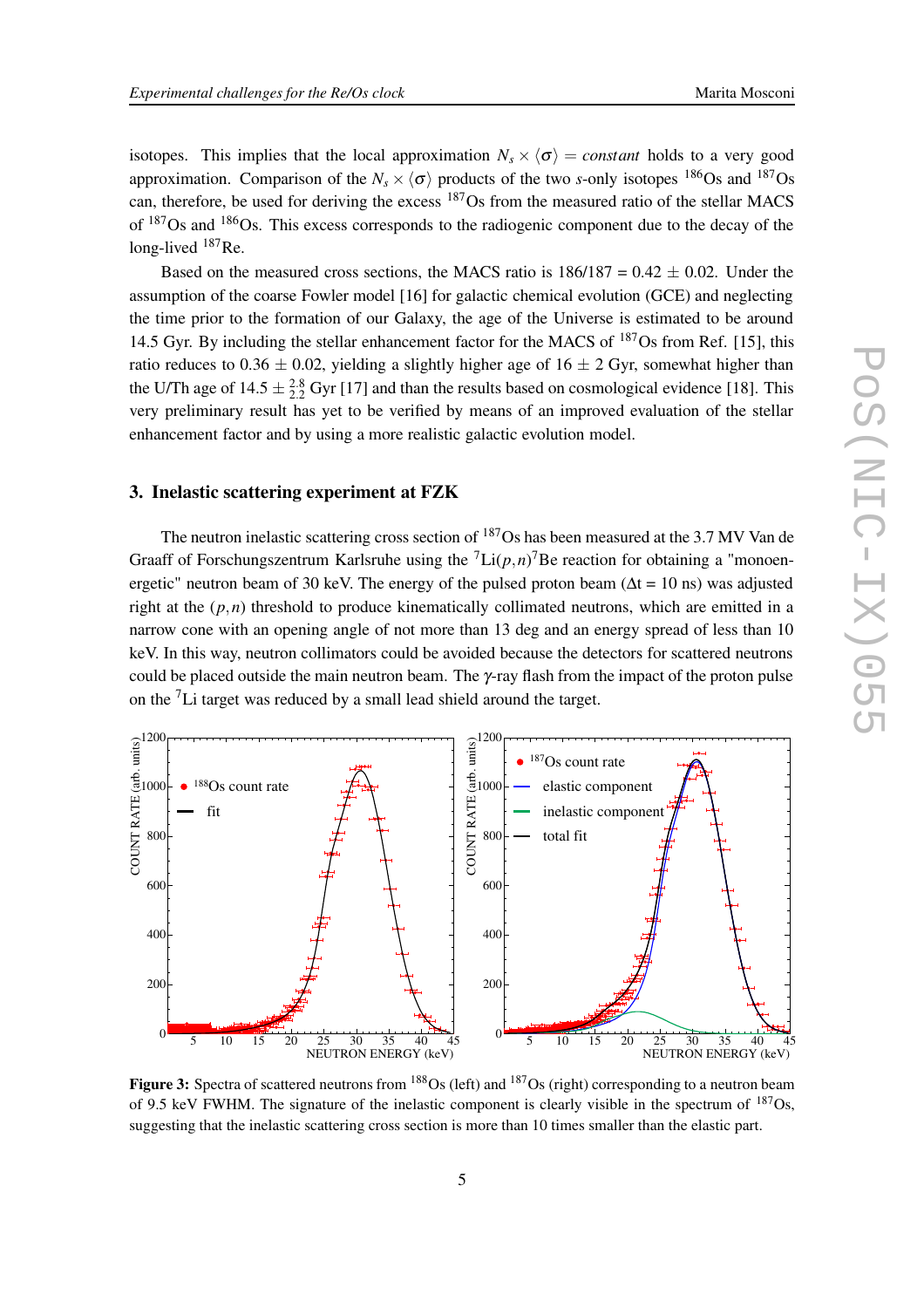isotopes. This implies that the local approximation  $N_s \times \langle \sigma \rangle$  = *constant* holds to a very good approximation. Comparison of the  $N_s \times \langle \sigma \rangle$  products of the two *s*-only isotopes <sup>186</sup>Os and <sup>187</sup>Os can, therefore, be used for deriving the excess <sup>187</sup>Os from the measured ratio of the stellar MACS of <sup>187</sup>Os and <sup>186</sup>Os. This excess corresponds to the radiogenic component due to the decay of the long-lived <sup>187</sup>Re.

Based on the measured cross sections, the MACS ratio is  $186/187 = 0.42 \pm 0.02$ . Under the assumption of the coarse Fowler model [16] for galactic chemical evolution (GCE) and neglecting the time prior to the formation of our Galaxy, the age of the Universe is estimated to be around 14.5 Gyr. By including the stellar enhancement factor for the MACS of  $187$ Os from Ref. [15], this ratio reduces to 0.36  $\pm$  0.02, yielding a slightly higher age of 16  $\pm$  2 Gyr, somewhat higher than the U/Th age of  $14.5 \pm \frac{2.8}{2.2}$  Gyr [17] and than the results based on cosmological evidence [18]. This very preliminary result has yet to be verified by means of an improved evaluation of the stellar enhancement factor and by using a more realistic galactic evolution model.

### **3. Inelastic scattering experiment at FZK**

The neutron inelastic scattering cross section of <sup>187</sup>Os has been measured at the 3.7 MV Van de Graaff of Forschungszentrum Karlsruhe using the  $\text{Li}(p,n)$ <sup>7</sup>Be reaction for obtaining a "monoenergetic" neutron beam of 30 keV. The energy of the pulsed proton beam ( $\Delta t = 10$  ns) was adjusted right at the  $(p, n)$  threshold to produce kinematically collimated neutrons, which are emitted in a narrow cone with an opening angle of not more than 13 deg and an energy spread of less than 10 keV. In this way, neutron collimators could be avoided because the detectors for scattered neutrons could be placed outside the main neutron beam. The  $\gamma$ -ray flash from the impact of the proton pulse on the <sup>7</sup>Li target was reduced by a small lead shield around the target.



**Figure 3:** Spectra of scattered neutrons from <sup>188</sup>Os (left) and <sup>187</sup>Os (right) corresponding to a neutron beam of 9.5 keV FWHM. The signature of the inelastic component is clearly visible in the spectrum of <sup>187</sup>Os, suggesting that the inelastic scattering cross section is more than 10 times smaller than the elastic part.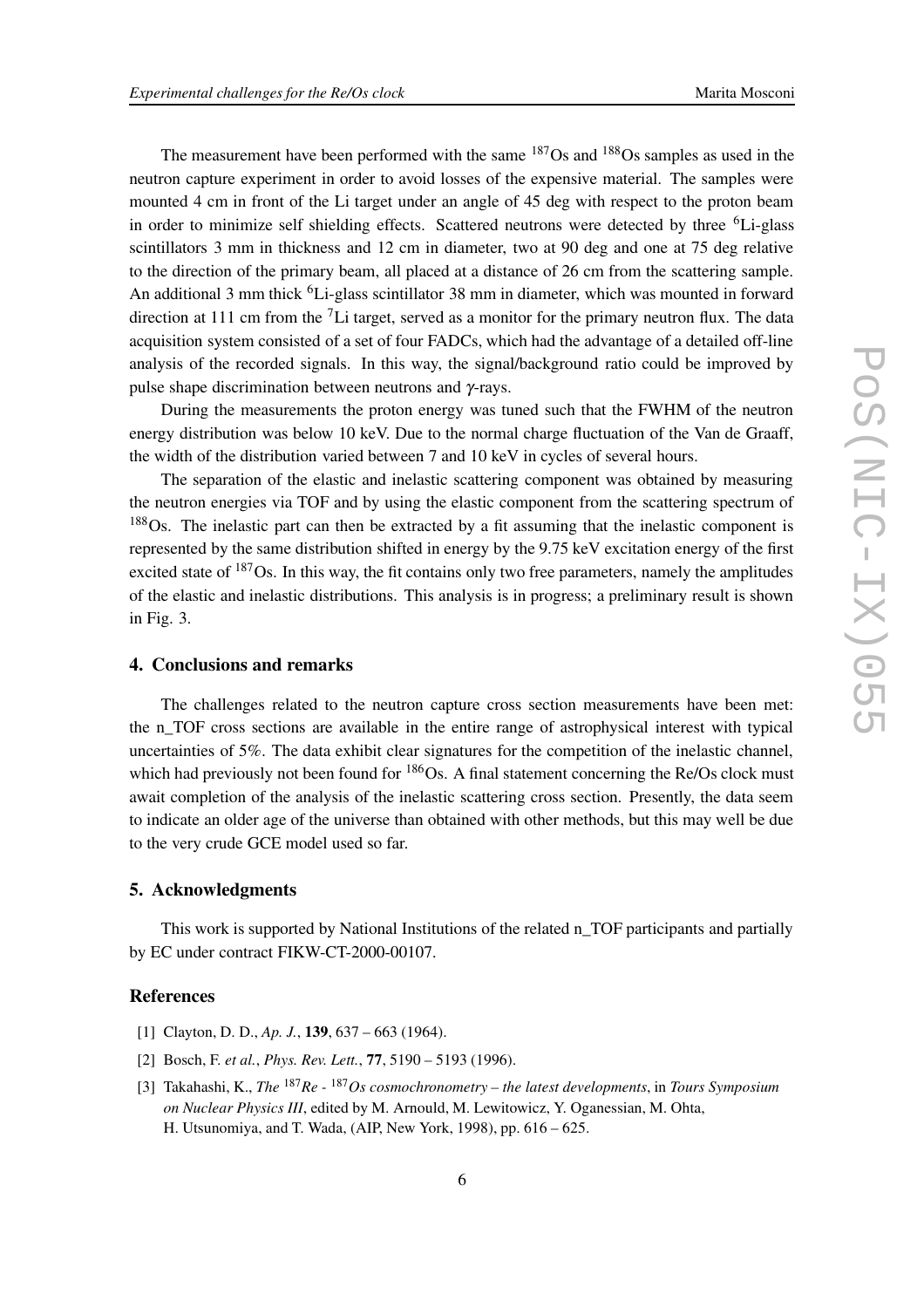The measurement have been performed with the same  $187Os$  and  $188Os$  samples as used in the neutron capture experiment in order to avoid losses of the expensive material. The samples were mounted 4 cm in front of the Li target under an angle of 45 deg with respect to the proton beam in order to minimize self shielding effects. Scattered neutrons were detected by three <sup>6</sup>Li-glass scintillators 3 mm in thickness and 12 cm in diameter, two at 90 deg and one at 75 deg relative to the direction of the primary beam, all placed at a distance of 26 cm from the scattering sample. An additional 3 mm thick <sup>6</sup>Li-glass scintillator 38 mm in diameter, which was mounted in forward direction at 111 cm from the  ${}^{7}$ Li target, served as a monitor for the primary neutron flux. The data acquisition system consisted of a set of four FADCs, which had the advantage of a detailed off-line analysis of the recorded signals. In this way, the signal/background ratio could be improved by pulse shape discrimination between neutrons and γ-rays.

During the measurements the proton energy was tuned such that the FWHM of the neutron energy distribution was below 10 keV. Due to the normal charge fluctuation of the Van de Graaff, the width of the distribution varied between 7 and 10 keV in cycles of several hours.

The separation of the elastic and inelastic scattering component was obtained by measuring the neutron energies via TOF and by using the elastic component from the scattering spectrum of <sup>188</sup>Os. The inelastic part can then be extracted by a fit assuming that the inelastic component is represented by the same distribution shifted in energy by the 9.75 keV excitation energy of the first excited state of <sup>187</sup>Os. In this way, the fit contains only two free parameters, namely the amplitudes of the elastic and inelastic distributions. This analysis is in progress; a preliminary result is shown in Fig. 3.

#### **4. Conclusions and remarks**

The challenges related to the neutron capture cross section measurements have been met: the n\_TOF cross sections are available in the entire range of astrophysical interest with typical uncertainties of 5%. The data exhibit clear signatures for the competition of the inelastic channel, which had previously not been found for  $186$ Os. A final statement concerning the Re/Os clock must await completion of the analysis of the inelastic scattering cross section. Presently, the data seem to indicate an older age of the universe than obtained with other methods, but this may well be due to the very crude GCE model used so far.

#### **5. Acknowledgments**

This work is supported by National Institutions of the related n\_TOF participants and partially by EC under contract FIKW-CT-2000-00107.

#### **References**

- [1] Clayton, D. D., *Ap. J.*, **139**, 637 663 (1964).
- [2] Bosch, F. *et al.*, *Phys. Rev. Lett.*, **77**, 5190 5193 (1996).
- [3] Takahashi, K., *The* <sup>187</sup>*Re -* <sup>187</sup>*Os cosmochronometry – the latest developments*, in *Tours Symposium on Nuclear Physics III*, edited by M. Arnould, M. Lewitowicz, Y. Oganessian, M. Ohta, H. Utsunomiya, and T. Wada, (AIP, New York, 1998), pp. 616 – 625.